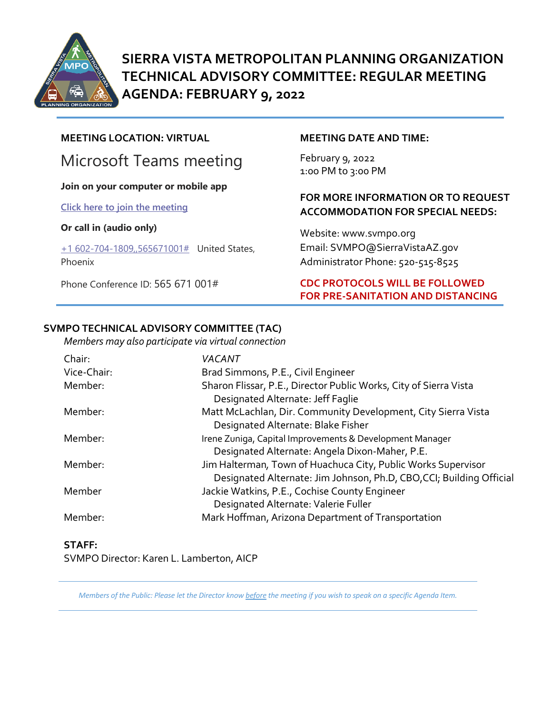

**SIERRA VISTA METROPOLITAN PLANNING ORGANIZATION TECHNICAL ADVISORY COMMITTEE: REGULAR MEETING AGENDA: FEBRUARY 9, 2022** 

# **MEETING LOCATION: VIRTUAL**

# Microsoft Teams meeting

#### **Join on your computer or mobile app**

**[Click here to join the meeting](https://teams.microsoft.com/l/meetup-join/19%3ameeting_Y2JmNDJkNzgtMDgwMS00ZWI3LWJhM2UtZGI4Y2E4ZGIxMjc2%40thread.v2/0?context=%7b%22Tid%22%3a%2236676c86-4a76-422a-8d4e-223152386488%22%2c%22Oid%22%3a%22956098f9-794b-4934-9a34-9a99f53bf1f3%22%7d)**

#### **Or call in (audio only)**

[+1 602-704-1809,,565671001#](tel:+16027041809,,565671001#%20) United States, Phoenix

Phone Conference ID: 565 671 001#

#### **MEETING DATE AND TIME:**

February 9, 2022 1:0o PM to 3:00 PM

# **FOR MORE INFORMATION OR TO REQUEST ACCOMMODATION FOR SPECIAL NEEDS:**

Website: www.svmpo.org Email: SVMPO@SierraVistaAZ.gov Administrator Phone: 520-515-8525

# **CDC PROTOCOLS WILL BE FOLLOWED FOR PRE-SANITATION AND DISTANCING**

## **SVMPO TECHNICAL ADVISORY COMMITTEE (TAC)**

*Members may also participate via virtual connection* 

| Chair:      | VACANT                                                                                                                                |
|-------------|---------------------------------------------------------------------------------------------------------------------------------------|
| Vice-Chair: | Brad Simmons, P.E., Civil Engineer                                                                                                    |
| Member:     | Sharon Flissar, P.E., Director Public Works, City of Sierra Vista<br>Designated Alternate: Jeff Faglie                                |
| Member:     | Matt McLachlan, Dir. Community Development, City Sierra Vista<br>Designated Alternate: Blake Fisher                                   |
| Member:     | Irene Zuniga, Capital Improvements & Development Manager<br>Designated Alternate: Angela Dixon-Maher, P.E.                            |
| Member:     | Jim Halterman, Town of Huachuca City, Public Works Supervisor<br>Designated Alternate: Jim Johnson, Ph.D, CBO, CCI; Building Official |
| Member      | Jackie Watkins, P.E., Cochise County Engineer<br>Designated Alternate: Valerie Fuller                                                 |
| Member:     | Mark Hoffman, Arizona Department of Transportation                                                                                    |

#### **STAFF:** SVMPO Director: Karen L. Lamberton, AICP

*Members of the Public: Please let the Director know before the meeting if you wish to speak on a specific Agenda Item.*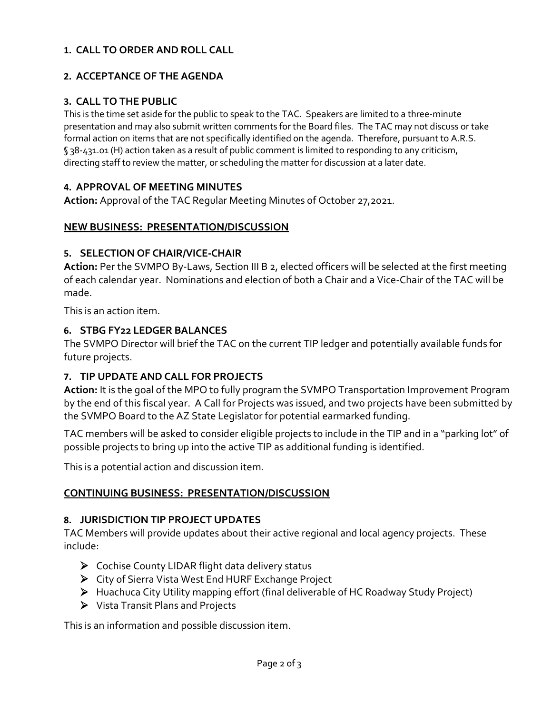# **1. CALL TO ORDER AND ROLL CALL**

# **2. ACCEPTANCE OF THE AGENDA**

# **3. CALL TO THE PUBLIC**

This is the time set aside for the public to speak to the TAC. Speakers are limited to a three-minute presentation and may also submit written comments for the Board files. The TAC may not discuss or take formal action on items that are not specifically identified on the agenda. Therefore, pursuant to A.R.S. § 38-431.01 (H) action taken as a result of public comment is limited to responding to any criticism, directing staff to review the matter, or scheduling the matter for discussion at a later date.

## **4. APPROVAL OF MEETING MINUTES**

**Action:** Approval of the TAC Regular Meeting Minutes of October 27,2021.

## **NEW BUSINESS: PRESENTATION/DISCUSSION**

## **5. SELECTION OF CHAIR/VICE-CHAIR**

**Action:** Per the SVMPO By-Laws, Section III B 2, elected officers will be selected at the first meeting of each calendar year. Nominations and election of both a Chair and a Vice-Chair of the TAC will be made.

This is an action item.

#### **6. STBG FY22 LEDGER BALANCES**

The SVMPO Director will brief the TAC on the current TIP ledger and potentially available funds for future projects.

# **7. TIP UPDATE AND CALL FOR PROJECTS**

**Action:** It is the goal of the MPO to fully program the SVMPO Transportation Improvement Program by the end of this fiscal year. A Call for Projects was issued, and two projects have been submitted by the SVMPO Board to the AZ State Legislator for potential earmarked funding.

TAC members will be asked to consider eligible projects to include in the TIP and in a "parking lot" of possible projects to bring up into the active TIP as additional funding is identified.

This is a potential action and discussion item.

# **CONTINUING BUSINESS: PRESENTATION/DISCUSSION**

#### **8. JURISDICTION TIP PROJECT UPDATES**

TAC Members will provide updates about their active regional and local agency projects. These include:

- Cochise County LIDAR flight data delivery status
- City of Sierra Vista West End HURF Exchange Project
- Huachuca City Utility mapping effort (final deliverable of HC Roadway Study Project)
- Vista Transit Plans and Projects

This is an information and possible discussion item.